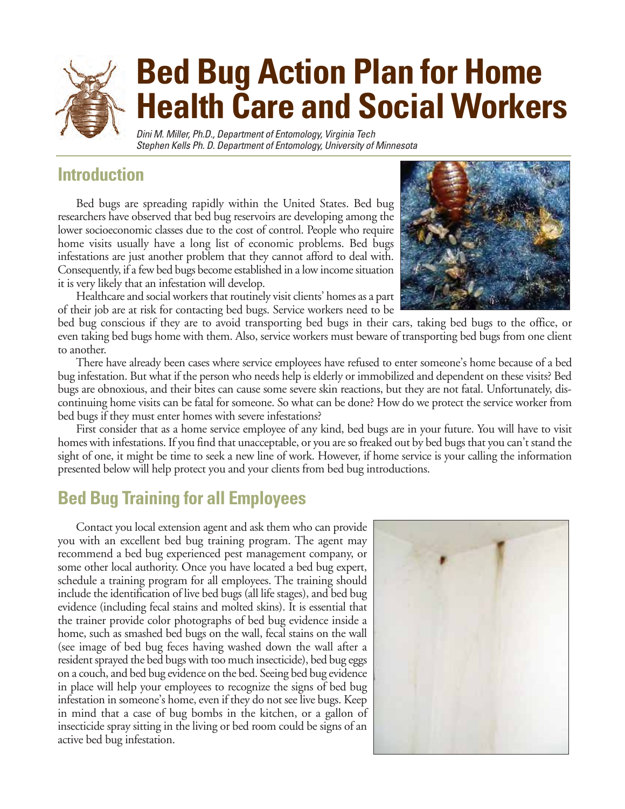# **Bed Bug Action Plan for Home Health Care and Social Workers** Dini M. Miller, Ph.D., Department of Entomology, Virginia Tech

Stephen Kells Ph. D. Department of Entomology, University of Minnesota

## **Introduction**

Bed bugs are spreading rapidly within the United States. Bed bug researchers have observed that bed bug reservoirs are developing among the lower socioeconomic classes due to the cost of control. People who require home visits usually have a long list of economic problems. Bed bugs infestations are just another problem that they cannot afford to deal with. Consequently, if a few bed bugs become established in a low income situation it is very likely that an infestation will develop.

Healthcare and social workers that routinely visit clients' homes as a part of their job are at risk for contacting bed bugs. Service workers need to be

bed bug conscious if they are to avoid transporting bed bugs in their cars, taking bed bugs to the office, or even taking bed bugs home with them. Also, service workers must beware of transporting bed bugs from one client to another.

There have already been cases where service employees have refused to enter someone's home because of a bed bug infestation. But what if the person who needs help is elderly or immobilized and dependent on these visits? Bed bugs are obnoxious, and their bites can cause some severe skin reactions, but they are not fatal. Unfortunately, discontinuing home visits can be fatal for someone. So what can be done? How do we protect the service worker from bed bugs if they must enter homes with severe infestations?

First consider that as a home service employee of any kind, bed bugs are in your future. You will have to visit homes with infestations. If you find that unacceptable, or you are so freaked out by bed bugs that you can't stand the sight of one, it might be time to seek a new line of work. However, if home service is your calling the information presented below will help protect you and your clients from bed bug introductions.

## **Bed Bug Training for all Employees**

Contact you local extension agent and ask them who can provide you with an excellent bed bug training program. The agent may recommend a bed bug experienced pest management company, or some other local authority. Once you have located a bed bug expert, schedule a training program for all employees. The training should include the identification of live bed bugs (all life stages), and bed bug evidence (including fecal stains and molted skins). It is essential that the trainer provide color photographs of bed bug evidence inside a home, such as smashed bed bugs on the wall, fecal stains on the wall (see image of bed bug feces having washed down the wall after a resident sprayed the bed bugs with too much insecticide), bed bug eggs on a couch, and bed bug evidence on the bed. Seeing bed bug evidence in place will help your employees to recognize the signs of bed bug infestation in someone's home, even if they do not see live bugs. Keep in mind that a case of bug bombs in the kitchen, or a gallon of insecticide spray sitting in the living or bed room could be signs of an active bed bug infestation.



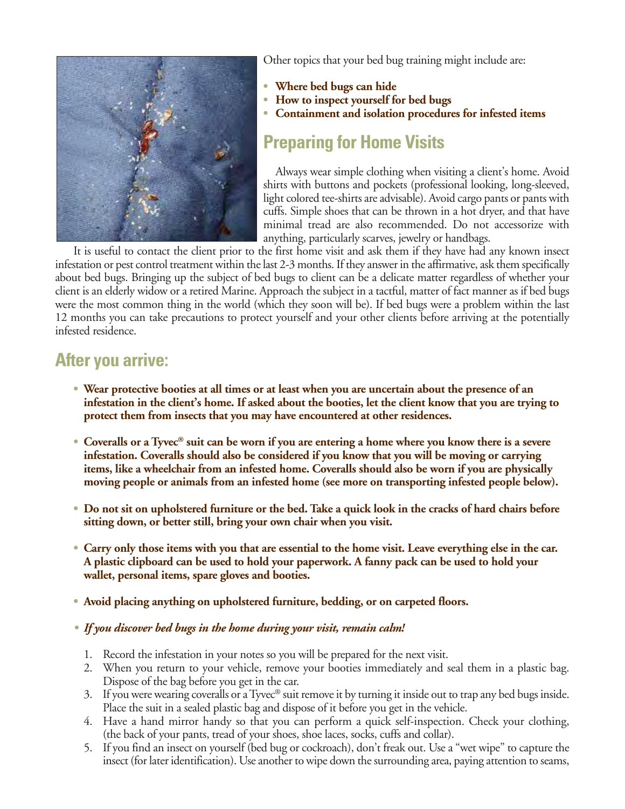

Other topics that your bed bug training might include are:

- **• Where bed bugs can hide**
- **• How to inspect yourself for bed bugs**
- **• Containment and isolation procedures for infested items**

## **Preparing for Home Visits**

Always wear simple clothing when visiting a client's home. Avoid shirts with buttons and pockets (professional looking, long-sleeved, light colored tee-shirts are advisable). Avoid cargo pants or pants with cuffs. Simple shoes that can be thrown in a hot dryer, and that have minimal tread are also recommended. Do not accessorize with anything, particularly scarves, jewelry or handbags.

It is useful to contact the client prior to the first home visit and ask them if they have had any known insect infestation or pest control treatment within the last 2-3 months. If they answer in the affirmative, ask them specifically about bed bugs. Bringing up the subject of bed bugs to client can be a delicate matter regardless of whether your client is an elderly widow or a retired Marine. Approach the subject in a tactful, matter of fact manner as if bed bugs were the most common thing in the world (which they soon will be). If bed bugs were a problem within the last 12 months you can take precautions to protect yourself and your other clients before arriving at the potentially infested residence.

#### **After you arrive:**

- **• Wear protective booties at all times or at least when you are uncertain about the presence of an infestation in the client's home. If asked about the booties, let the client know that you are trying to protect them from insects that you may have encountered at other residences.**
- **• Coveralls or a Tyvec® suit can be worn if you are entering a home where you know there is a severe infestation. Coveralls should also be considered if you know that you will be moving or carrying items, like a wheelchair from an infested home. Coveralls should also be worn if you are physically moving people or animals from an infested home (see more on transporting infested people below).**
- **• Do not sit on upholstered furniture or the bed. Take a quick look in the cracks of hard chairs before sitting down, or better still, bring your own chair when you visit.**
- **• Carry only those items with you that are essential to the home visit. Leave everything else in the car. A plastic clipboard can be used to hold your paperwork. A fanny pack can be used to hold your wallet, personal items, spare gloves and booties.**
- **• Avoid placing anything on upholstered furniture, bedding, or on carpeted floors.**
- *• If you discover bed bugs in the home during your visit, remain calm!* 
	- 1. Record the infestation in your notes so you will be prepared for the next visit.
	- 2. When you return to your vehicle, remove your booties immediately and seal them in a plastic bag. Dispose of the bag before you get in the car.
	- 3. If you were wearing coveralls or a Tyvec® suit remove it by turning it inside out to trap any bed bugs inside. Place the suit in a sealed plastic bag and dispose of it before you get in the vehicle.
	- 4. Have a hand mirror handy so that you can perform a quick self-inspection. Check your clothing, (the back of your pants, tread of your shoes, shoe laces, socks, cuffs and collar).
	- 5. If you find an insect on yourself (bed bug or cockroach), don't freak out. Use a "wet wipe" to capture the insect (for later identification). Use another to wipe down the surrounding area, paying attention to seams,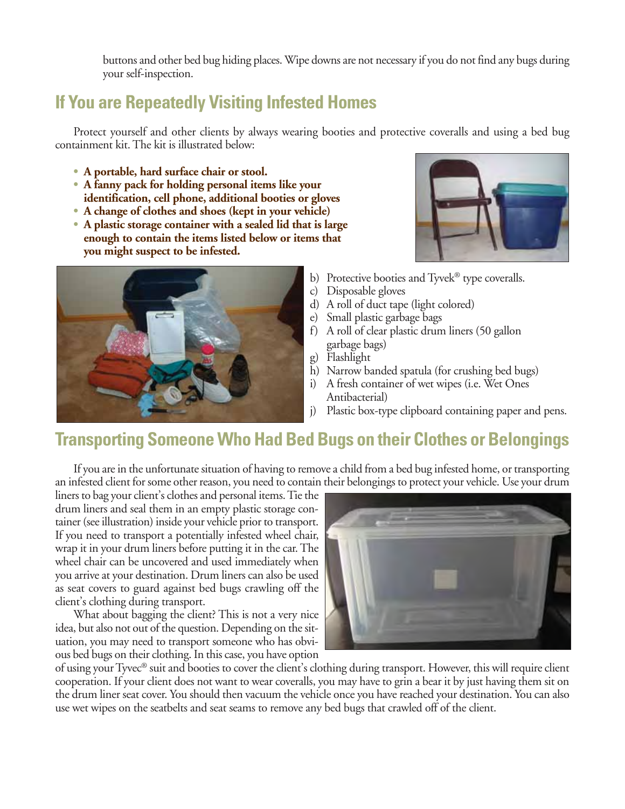buttons and other bed bug hiding places. Wipe downs are not necessary if you do not find any bugs during your self-inspection.

# **If You are Repeatedly Visiting Infested Homes**

Protect yourself and other clients by always wearing booties and protective coveralls and using a bed bug containment kit. The kit is illustrated below:

- **• A portable, hard surface chair or stool.**
- **• A fanny pack for holding personal items like your identification, cell phone, additional booties or gloves**
- **• A change of clothes and shoes (kept in your vehicle)**
- **• A plastic storage container with a sealed lid that is large enough to contain the items listed below or items that you might suspect to be infested.**





- b) Protective booties and Tyvek® type coveralls.
- c) Disposable gloves
- d) A roll of duct tape (light colored)
- e) Small plastic garbage bags
- f) A roll of clear plastic drum liners (50 gallon garbage bags)
- g) Flashlight
- h) Narrow banded spatula (for crushing bed bugs)
- i) A fresh container of wet wipes (i.e. Wet Ones Antibacterial)
- j) Plastic box-type clipboard containing paper and pens.

## **Transporting Someone Who Had Bed Bugs on their Clothes or Belongings**

If you are in the unfortunate situation of having to remove a child from a bed bug infested home, or transporting an infested client for some other reason, you need to contain their belongings to protect your vehicle. Use your drum

liners to bag your client's clothes and personal items. Tie the drum liners and seal them in an empty plastic storage container (see illustration) inside your vehicle prior to transport. If you need to transport a potentially infested wheel chair, wrap it in your drum liners before putting it in the car. The wheel chair can be uncovered and used immediately when you arrive at your destination. Drum liners can also be used as seat covers to guard against bed bugs crawling off the client's clothing during transport.

What about bagging the client? This is not a very nice idea, but also not out of the question. Depending on the situation, you may need to transport someone who has obvious bed bugs on their clothing. In this case, you have option



of using your Tyvec® suit and booties to cover the client's clothing during transport. However, this will require client cooperation. If your client does not want to wear coveralls, you may have to grin a bear it by just having them sit on the drum liner seat cover. You should then vacuum the vehicle once you have reached your destination. You can also use wet wipes on the seatbelts and seat seams to remove any bed bugs that crawled off of the client.